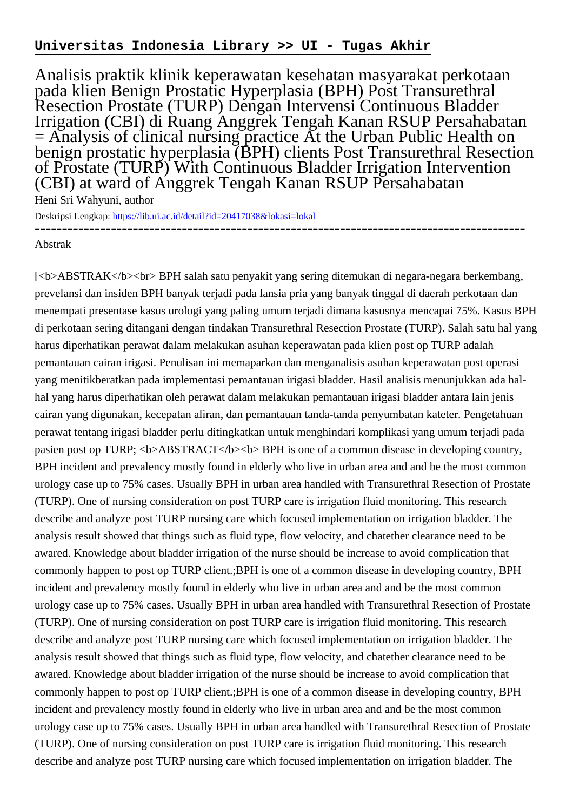## **Universitas Indonesia Library >> UI - Tugas Akhir**

Analisis praktik klinik keperawatan kesehatan masyarakat perkotaan pada klien Benign Prostatic Hyperplasia (BPH) Post Transurethral Resection Prostate (TURP) Dengan Intervensi Continuous Bladder Irrigation (CBI) di Ruang Anggrek Tengah Kanan RSUP Persahabatan  $=$  Analysis of clinical nursing practice At the Urban Public Health on benign prostatic hyperplasia (BPH) clients Post Transurethral Resection of Prostate (TURP) With Continuous Bladder Irrigation Intervention (CBI) at ward of Anggrek Tengah Kanan RSUP Persahabatan

Heni Sri Wahyuni, author

Deskripsi Lengkap:<https://lib.ui.ac.id/detail?id=20417038&lokasi=lokal> ------------------------------------------------------------------------------------------

## Abstrak

[<b>ABSTRAK</b><br> BPH salah satu penyakit yang sering ditemukan di negara-negara berkembang, prevelansi dan insiden BPH banyak terjadi pada lansia pria yang banyak tinggal di daerah perkotaan dan menempati presentase kasus urologi yang paling umum terjadi dimana kasusnya mencapai 75%. Kasus BPH di perkotaan sering ditangani dengan tindakan Transurethral Resection Prostate (TURP). Salah satu hal yang harus diperhatikan perawat dalam melakukan asuhan keperawatan pada klien post op TURP adalah pemantauan cairan irigasi. Penulisan ini memaparkan dan menganalisis asuhan keperawatan post operasi yang menitikberatkan pada implementasi pemantauan irigasi bladder. Hasil analisis menunjukkan ada halhal yang harus diperhatikan oleh perawat dalam melakukan pemantauan irigasi bladder antara lain jenis cairan yang digunakan, kecepatan aliran, dan pemantauan tanda-tanda penyumbatan kateter. Pengetahuan perawat tentang irigasi bladder perlu ditingkatkan untuk menghindari komplikasi yang umum terjadi pada pasien post op TURP;  $\langle b \rangle$ ABSTRACT $\langle b \rangle$ b $\langle b \rangle$ BPH is one of a common disease in developing country, BPH incident and prevalency mostly found in elderly who live in urban area and and be the most common urology case up to 75% cases. Usually BPH in urban area handled with Transurethral Resection of Prostate (TURP). One of nursing consideration on post TURP care is irrigation fluid monitoring. This research describe and analyze post TURP nursing care which focused implementation on irrigation bladder. The analysis result showed that things such as fluid type, flow velocity, and chatether clearance need to be awared. Knowledge about bladder irrigation of the nurse should be increase to avoid complication that commonly happen to post op TURP client.;BPH is one of a common disease in developing country, BPH incident and prevalency mostly found in elderly who live in urban area and and be the most common urology case up to 75% cases. Usually BPH in urban area handled with Transurethral Resection of Prostate (TURP). One of nursing consideration on post TURP care is irrigation fluid monitoring. This research describe and analyze post TURP nursing care which focused implementation on irrigation bladder. The analysis result showed that things such as fluid type, flow velocity, and chatether clearance need to be awared. Knowledge about bladder irrigation of the nurse should be increase to avoid complication that commonly happen to post op TURP client.;BPH is one of a common disease in developing country, BPH incident and prevalency mostly found in elderly who live in urban area and and be the most common urology case up to 75% cases. Usually BPH in urban area handled with Transurethral Resection of Prostate (TURP). One of nursing consideration on post TURP care is irrigation fluid monitoring. This research describe and analyze post TURP nursing care which focused implementation on irrigation bladder. The